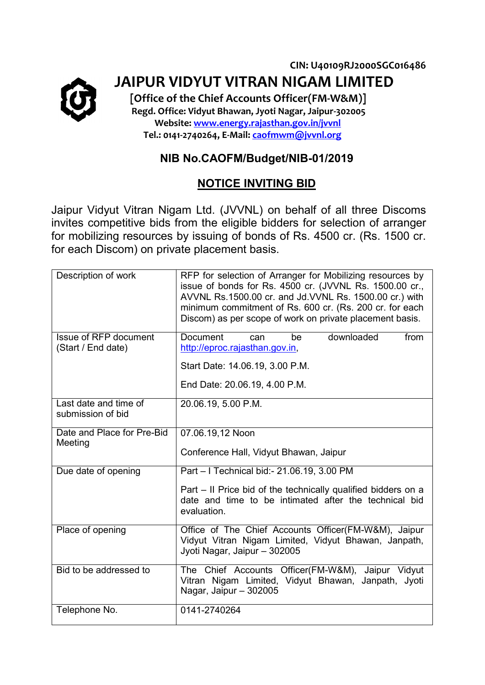

**CIN: U40109RJ2000SGC016486 JAIPUR VIDYUT VITRAN NIGAM LIMITED** 

 **[Office of the Chief Accounts Officer(FM-W&M)] Regd. Office: Vidyut Bhawan, Jyoti Nagar, Jaipur-302005 Website: [www.energy.rajasthan.gov.in/jvvnl](http://www.energy.rajasthan.gov.in/jvvnl) Tel.: 0141-2740264, E-Mail: [caofmwm@jvvnl.org](mailto:dirfinance@jvvnl.in)**

## **NIB No.CAOFM/Budget/NIB-01/2019**

## **NOTICE INVITING BID**

Jaipur Vidyut Vitran Nigam Ltd. (JVVNL) on behalf of all three Discoms invites competitive bids from the eligible bidders for selection of arranger for mobilizing resources by issuing of bonds of Rs. 4500 cr. (Rs. 1500 cr. for each Discom) on private placement basis.

| Description of work                         | RFP for selection of Arranger for Mobilizing resources by<br>issue of bonds for Rs. 4500 cr. (JVVNL Rs. 1500.00 cr.,<br>AVVNL Rs.1500.00 cr. and Jd.VVNL Rs. 1500.00 cr.) with<br>minimum commitment of Rs. 600 cr. (Rs. 200 cr. for each<br>Discom) as per scope of work on private placement basis. |
|---------------------------------------------|-------------------------------------------------------------------------------------------------------------------------------------------------------------------------------------------------------------------------------------------------------------------------------------------------------|
| Issue of RFP document<br>(Start / End date) | downloaded<br><b>Document</b><br>from<br>be<br>can<br>http://eproc.rajasthan.gov.in,                                                                                                                                                                                                                  |
|                                             | Start Date: 14.06.19, 3.00 P.M.                                                                                                                                                                                                                                                                       |
|                                             | End Date: 20.06.19, 4.00 P.M.                                                                                                                                                                                                                                                                         |
| Last date and time of<br>submission of bid  | 20.06.19, 5.00 P.M.                                                                                                                                                                                                                                                                                   |
| Date and Place for Pre-Bid<br>Meeting       | 07.06.19,12 Noon                                                                                                                                                                                                                                                                                      |
|                                             | Conference Hall, Vidyut Bhawan, Jaipur                                                                                                                                                                                                                                                                |
| Due date of opening                         | Part - I Technical bid: - 21.06.19, 3.00 PM                                                                                                                                                                                                                                                           |
|                                             | Part – Il Price bid of the technically qualified bidders on a<br>date and time to be intimated after the technical bid<br>evaluation.                                                                                                                                                                 |
| Place of opening                            | Office of The Chief Accounts Officer(FM-W&M), Jaipur<br>Vidyut Vitran Nigam Limited, Vidyut Bhawan, Janpath,<br>Jyoti Nagar, Jaipur - 302005                                                                                                                                                          |
| Bid to be addressed to                      | The Chief Accounts Officer(FM-W&M),<br>Jaipur Vidyut<br>Vitran Nigam Limited, Vidyut Bhawan, Janpath, Jyoti<br>Nagar, Jaipur - 302005                                                                                                                                                                 |
| Telephone No.                               | 0141-2740264                                                                                                                                                                                                                                                                                          |